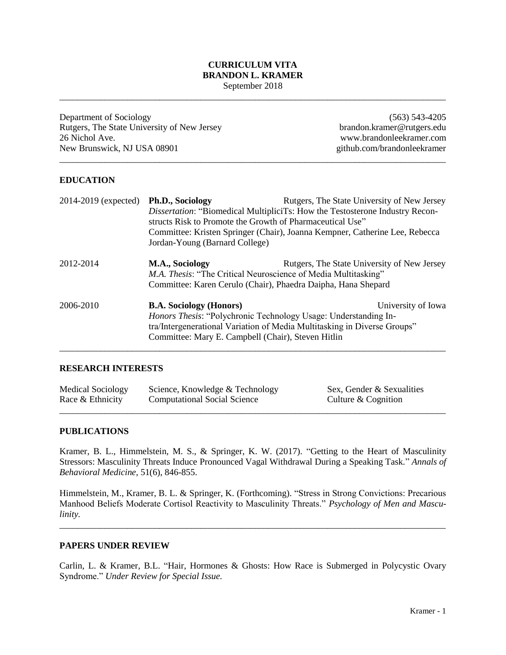#### **CURRICULUM VITA BRANDON L. KRAMER** September 2018

\_\_\_\_\_\_\_\_\_\_\_\_\_\_\_\_\_\_\_\_\_\_\_\_\_\_\_\_\_\_\_\_\_\_\_\_\_\_\_\_\_\_\_\_\_\_\_\_\_\_\_\_\_\_\_\_\_\_\_\_\_\_\_\_\_\_\_\_\_\_\_\_\_\_\_\_\_\_\_\_\_\_\_\_\_

\_\_\_\_\_\_\_\_\_\_\_\_\_\_\_\_\_\_\_\_\_\_\_\_\_\_\_\_\_\_\_\_\_\_\_\_\_\_\_\_\_\_\_\_\_\_\_\_\_\_\_\_\_\_\_\_\_\_\_\_\_\_\_\_\_\_\_\_\_\_\_\_\_\_\_\_\_\_\_\_\_\_\_\_\_

Department of Sociology Rutgers, The State University of New Jersey 26 Nichol Ave. New Brunswick, NJ USA 08901 github.com/brandonleekramer

(563) 543-4205 brandon.kramer@rutgers.edu www.brandonleekramer.com

### **EDUCATION**

| 2014-2019 (expected) | Ph.D., Sociology                                                                                                               | Rutgers, The State University of New Jersey                                                                                                                                           |  |
|----------------------|--------------------------------------------------------------------------------------------------------------------------------|---------------------------------------------------------------------------------------------------------------------------------------------------------------------------------------|--|
|                      | <i>Dissertation:</i> "Biomedical MultipliciTs: How the Testosterone Industry Recon-                                            |                                                                                                                                                                                       |  |
|                      |                                                                                                                                | structs Risk to Promote the Growth of Pharmaceutical Use"                                                                                                                             |  |
|                      |                                                                                                                                | Committee: Kristen Springer (Chair), Joanna Kempner, Catherine Lee, Rebecca                                                                                                           |  |
|                      | Jordan-Young (Barnard College)                                                                                                 |                                                                                                                                                                                       |  |
| 2012-2014            | M.A., Sociology                                                                                                                | Rutgers, The State University of New Jersey<br><i>M.A. Thesis:</i> "The Critical Neuroscience of Media Multitasking"<br>Committee: Karen Cerulo (Chair), Phaedra Daipha, Hana Shepard |  |
| 2006-2010            |                                                                                                                                |                                                                                                                                                                                       |  |
|                      | <b>B.A. Sociology (Honors)</b><br>University of Iowa<br><i>Honors Thesis:</i> "Polychronic Technology Usage: Understanding In- |                                                                                                                                                                                       |  |
|                      | tra/Intergenerational Variation of Media Multitasking in Diverse Groups"                                                       |                                                                                                                                                                                       |  |
|                      | Committee: Mary E. Campbell (Chair), Steven Hitlin                                                                             |                                                                                                                                                                                       |  |
|                      |                                                                                                                                |                                                                                                                                                                                       |  |

### **RESEARCH INTERESTS**

| <b>Medical Sociology</b> | Science, Knowledge & Technology     | Sex, Gender & Sexualities |
|--------------------------|-------------------------------------|---------------------------|
| Race & Ethnicity         | <b>Computational Social Science</b> | Culture & Cognition       |

#### **PUBLICATIONS**

Kramer, B. L., Himmelstein, M. S., & Springer, K. W. (2017). "Getting to the Heart of Masculinity Stressors: Masculinity Threats Induce Pronounced Vagal Withdrawal During a Speaking Task." *Annals of Behavioral Medicine*, 51(6), 846-855.

Himmelstein, M., Kramer, B. L. & Springer, K. (Forthcoming). "Stress in Strong Convictions: Precarious Manhood Beliefs Moderate Cortisol Reactivity to Masculinity Threats." *Psychology of Men and Masculinity.*

\_\_\_\_\_\_\_\_\_\_\_\_\_\_\_\_\_\_\_\_\_\_\_\_\_\_\_\_\_\_\_\_\_\_\_\_\_\_\_\_\_\_\_\_\_\_\_\_\_\_\_\_\_\_\_\_\_\_\_\_\_\_\_\_\_\_\_\_\_\_\_\_\_\_\_\_\_\_\_\_\_\_\_\_\_

#### **PAPERS UNDER REVIEW**

Carlin, L. & Kramer, B.L. "Hair, Hormones & Ghosts: How Race is Submerged in Polycystic Ovary Syndrome." *Under Review for Special Issue.*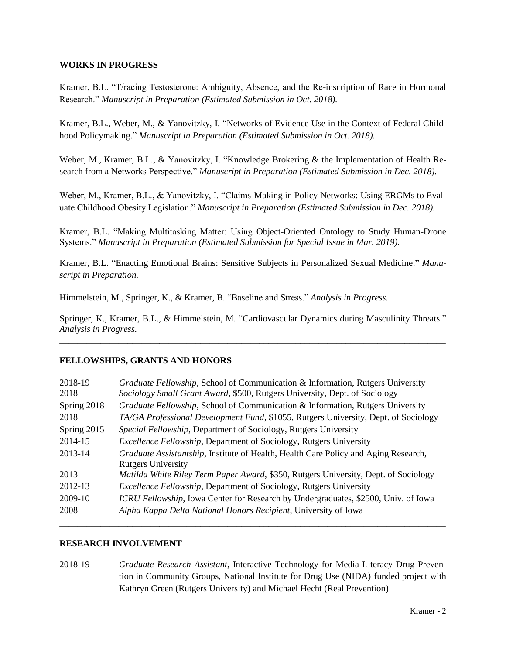## **WORKS IN PROGRESS**

Kramer, B.L. "T/racing Testosterone: Ambiguity, Absence, and the Re-inscription of Race in Hormonal Research." *Manuscript in Preparation (Estimated Submission in Oct. 2018).* 

Kramer, B.L., Weber, M., & Yanovitzky, I. "Networks of Evidence Use in the Context of Federal Childhood Policymaking." *Manuscript in Preparation (Estimated Submission in Oct. 2018).* 

Weber, M., Kramer, B.L., & Yanovitzky, I. "Knowledge Brokering & the Implementation of Health Research from a Networks Perspective." *Manuscript in Preparation (Estimated Submission in Dec. 2018).* 

Weber, M., Kramer, B.L., & Yanovitzky, I. "Claims-Making in Policy Networks: Using ERGMs to Evaluate Childhood Obesity Legislation." *Manuscript in Preparation (Estimated Submission in Dec. 2018).* 

Kramer, B.L. "Making Multitasking Matter: Using Object-Oriented Ontology to Study Human-Drone Systems." *Manuscript in Preparation (Estimated Submission for Special Issue in Mar. 2019).* 

Kramer, B.L. "Enacting Emotional Brains: Sensitive Subjects in Personalized Sexual Medicine." *Manuscript in Preparation.*

Himmelstein, M., Springer, K., & Kramer, B. "Baseline and Stress." *Analysis in Progress.* 

Springer, K., Kramer, B.L., & Himmelstein, M. "Cardiovascular Dynamics during Masculinity Threats." *Analysis in Progress.*  \_\_\_\_\_\_\_\_\_\_\_\_\_\_\_\_\_\_\_\_\_\_\_\_\_\_\_\_\_\_\_\_\_\_\_\_\_\_\_\_\_\_\_\_\_\_\_\_\_\_\_\_\_\_\_\_\_\_\_\_\_\_\_\_\_\_\_\_\_\_\_\_\_\_\_\_\_\_\_\_\_\_\_\_\_

#### **FELLOWSHIPS, GRANTS AND HONORS**

| 2018-19<br>2018 | Graduate Fellowship, School of Communication & Information, Rutgers University<br>Sociology Small Grant Award, \$500, Rutgers University, Dept. of Sociology |
|-----------------|--------------------------------------------------------------------------------------------------------------------------------------------------------------|
| Spring 2018     | Graduate Fellowship, School of Communication & Information, Rutgers University                                                                               |
| 2018            | TA/GA Professional Development Fund, \$1055, Rutgers University, Dept. of Sociology                                                                          |
| Spring 2015     | Special Fellowship, Department of Sociology, Rutgers University                                                                                              |
| 2014-15         | <i>Excellence Fellowship</i> , Department of Sociology, Rutgers University                                                                                   |
| 2013-14         | Graduate Assistantship, Institute of Health, Health Care Policy and Aging Research,<br><b>Rutgers University</b>                                             |
| 2013            | Matilda White Riley Term Paper Award, \$350, Rutgers University, Dept. of Sociology                                                                          |
| 2012-13         | <i>Excellence Fellowship</i> , Department of Sociology, Rutgers University                                                                                   |
| 2009-10         | ICRU Fellowship, Iowa Center for Research by Undergraduates, \$2500, Univ. of Iowa                                                                           |
| 2008            | Alpha Kappa Delta National Honors Recipient, University of Iowa                                                                                              |

#### **RESEARCH INVOLVEMENT**

2018-19 *Graduate Research Assistant*, Interactive Technology for Media Literacy Drug Prevention in Community Groups, National Institute for Drug Use (NIDA) funded project with Kathryn Green (Rutgers University) and Michael Hecht (Real Prevention)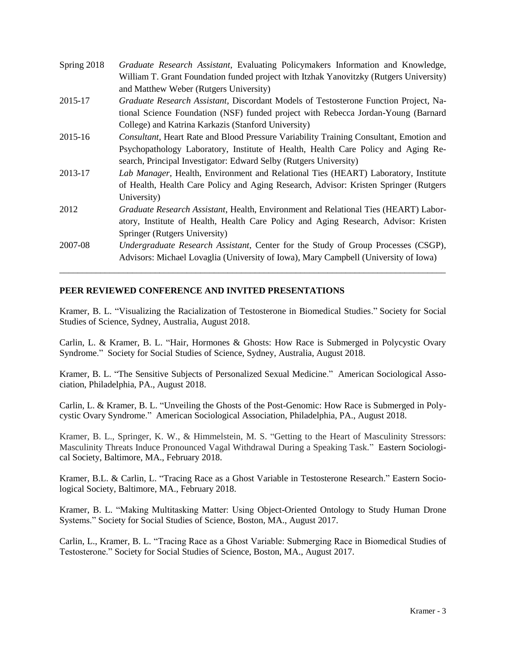| Spring 2018 | Graduate Research Assistant, Evaluating Policymakers Information and Knowledge,               |
|-------------|-----------------------------------------------------------------------------------------------|
|             | William T. Grant Foundation funded project with Itzhak Yanovitzky (Rutgers University)        |
|             | and Matthew Weber (Rutgers University)                                                        |
| 2015-17     | Graduate Research Assistant, Discordant Models of Testosterone Function Project, Na-          |
|             | tional Science Foundation (NSF) funded project with Rebecca Jordan-Young (Barnard             |
|             | College) and Katrina Karkazis (Stanford University)                                           |
| 2015-16     | <b>Consultant, Heart Rate and Blood Pressure Variability Training Consultant, Emotion and</b> |
|             | Psychopathology Laboratory, Institute of Health, Health Care Policy and Aging Re-             |
|             | search, Principal Investigator: Edward Selby (Rutgers University)                             |
| 2013-17     | Lab Manager, Health, Environment and Relational Ties (HEART) Laboratory, Institute            |
|             | of Health, Health Care Policy and Aging Research, Advisor: Kristen Springer (Rutgers)         |
|             | University)                                                                                   |
| 2012        | Graduate Research Assistant, Health, Environment and Relational Ties (HEART) Labor-           |
|             | atory, Institute of Health, Health Care Policy and Aging Research, Advisor: Kristen           |
|             | Springer (Rutgers University)                                                                 |
| 2007-08     | Undergraduate Research Assistant, Center for the Study of Group Processes (CSGP),             |
|             | Advisors: Michael Lovaglia (University of Iowa), Mary Campbell (University of Iowa)           |
|             |                                                                                               |

## **PEER REVIEWED CONFERENCE AND INVITED PRESENTATIONS**

Kramer, B. L. "Visualizing the Racialization of Testosterone in Biomedical Studies." Society for Social Studies of Science, Sydney, Australia, August 2018.

Carlin, L. & Kramer, B. L. "Hair, Hormones & Ghosts: How Race is Submerged in Polycystic Ovary Syndrome." Society for Social Studies of Science, Sydney, Australia, August 2018.

Kramer, B. L. "The Sensitive Subjects of Personalized Sexual Medicine." American Sociological Association, Philadelphia, PA., August 2018.

Carlin, L. & Kramer, B. L. "Unveiling the Ghosts of the Post-Genomic: How Race is Submerged in Polycystic Ovary Syndrome." American Sociological Association, Philadelphia, PA., August 2018.

Kramer, B. L., Springer, K. W., & Himmelstein, M. S. "Getting to the Heart of Masculinity Stressors: Masculinity Threats Induce Pronounced Vagal Withdrawal During a Speaking Task." Eastern Sociological Society, Baltimore, MA., February 2018.

Kramer, B.L. & Carlin, L. "Tracing Race as a Ghost Variable in Testosterone Research." Eastern Sociological Society, Baltimore, MA., February 2018.

Kramer, B. L. "Making Multitasking Matter: Using Object-Oriented Ontology to Study Human Drone Systems." Society for Social Studies of Science, Boston, MA., August 2017.

Carlin, L., Kramer, B. L. "Tracing Race as a Ghost Variable: Submerging Race in Biomedical Studies of Testosterone." Society for Social Studies of Science, Boston, MA., August 2017.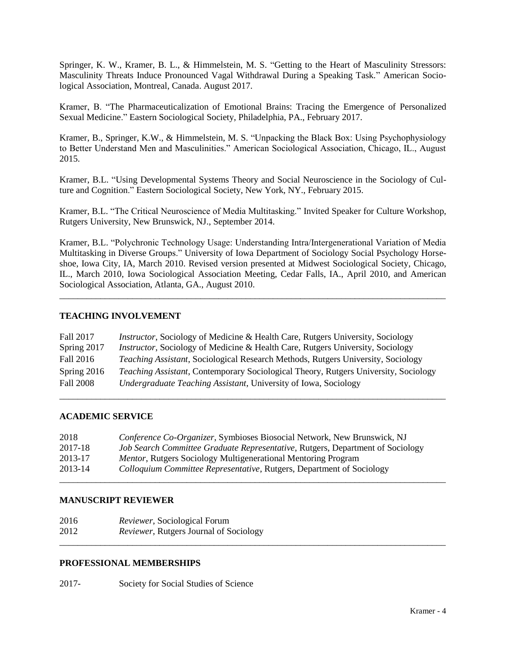Springer, K. W., Kramer, B. L., & Himmelstein, M. S. "Getting to the Heart of Masculinity Stressors: Masculinity Threats Induce Pronounced Vagal Withdrawal During a Speaking Task." American Sociological Association, Montreal, Canada. August 2017.

Kramer, B. "The Pharmaceuticalization of Emotional Brains: Tracing the Emergence of Personalized Sexual Medicine." Eastern Sociological Society, Philadelphia, PA., February 2017.

Kramer, B., Springer, K.W., & Himmelstein, M. S. "Unpacking the Black Box: Using Psychophysiology to Better Understand Men and Masculinities." American Sociological Association, Chicago, IL., August 2015.

Kramer, B.L. "Using Developmental Systems Theory and Social Neuroscience in the Sociology of Culture and Cognition." Eastern Sociological Society, New York, NY., February 2015.

Kramer, B.L. "The Critical Neuroscience of Media Multitasking." Invited Speaker for Culture Workshop, Rutgers University, New Brunswick, NJ., September 2014.

Kramer, B.L. "Polychronic Technology Usage: Understanding Intra/Intergenerational Variation of Media Multitasking in Diverse Groups." University of Iowa Department of Sociology Social Psychology Horseshoe, Iowa City, IA, March 2010. Revised version presented at Midwest Sociological Society, Chicago, IL., March 2010, Iowa Sociological Association Meeting, Cedar Falls, IA., April 2010, and American Sociological Association, Atlanta, GA., August 2010.

\_\_\_\_\_\_\_\_\_\_\_\_\_\_\_\_\_\_\_\_\_\_\_\_\_\_\_\_\_\_\_\_\_\_\_\_\_\_\_\_\_\_\_\_\_\_\_\_\_\_\_\_\_\_\_\_\_\_\_\_\_\_\_\_\_\_\_\_\_\_\_\_\_\_\_\_\_\_\_\_\_\_\_\_\_

## **TEACHING INVOLVEMENT**

| Fall 2017        | <i>Instructor</i> , Sociology of Medicine & Health Care, Rutgers University, Sociology     |
|------------------|--------------------------------------------------------------------------------------------|
| Spring 2017      | <i>Instructor</i> , Sociology of Medicine & Health Care, Rutgers University, Sociology     |
| Fall 2016        | <i>Teaching Assistant, Sociological Research Methods, Rutgers University, Sociology</i>    |
| Spring 2016      | <i>Teaching Assistant, Contemporary Sociological Theory, Rutgers University, Sociology</i> |
| <b>Fall 2008</b> | <i>Undergraduate Teaching Assistant, University of Iowa, Sociology</i>                     |

\_\_\_\_\_\_\_\_\_\_\_\_\_\_\_\_\_\_\_\_\_\_\_\_\_\_\_\_\_\_\_\_\_\_\_\_\_\_\_\_\_\_\_\_\_\_\_\_\_\_\_\_\_\_\_\_\_\_\_\_\_\_\_\_\_\_\_\_\_\_\_\_\_\_\_\_\_\_\_\_\_\_\_\_\_

#### **ACADEMIC SERVICE**

| 2018    | Conference Co-Organizer, Symbioses Biosocial Network, New Brunswick, NJ        |
|---------|--------------------------------------------------------------------------------|
| 2017-18 | Job Search Committee Graduate Representative, Rutgers, Department of Sociology |
| 2013-17 | <i>Mentor</i> , Rutgers Sociology Multigenerational Mentoring Program          |
| 2013-14 | Colloquium Committee Representative, Rutgers, Department of Sociology          |
|         |                                                                                |

#### **MANUSCRIPT REVIEWER**

| 2016 | <i>Reviewer</i> , Sociological Forum   |  |
|------|----------------------------------------|--|
| 2012 | Reviewer, Rutgers Journal of Sociology |  |
|      |                                        |  |

### **PROFESSIONAL MEMBERSHIPS**

2017- Society for Social Studies of Science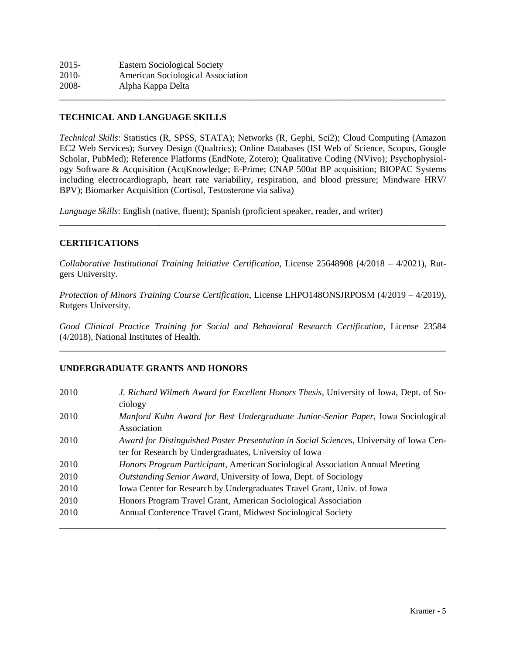| $2015 -$ | <b>Eastern Sociological Society</b> |  |
|----------|-------------------------------------|--|
| 2010-    | American Sociological Association   |  |
| 2008-    | Alpha Kappa Delta                   |  |
|          |                                     |  |

## **TECHNICAL AND LANGUAGE SKILLS**

*Technical Skills*: Statistics (R, SPSS, STATA); Networks (R, Gephi, Sci2); Cloud Computing (Amazon EC2 Web Services); Survey Design (Qualtrics); Online Databases (ISI Web of Science, Scopus, Google Scholar, PubMed); Reference Platforms (EndNote, Zotero); Qualitative Coding (NVivo); Psychophysiology Software & Acquisition (AcqKnowledge; E-Prime; CNAP 500at BP acquisition; BIOPAC Systems including electrocardiograph, heart rate variability, respiration, and blood pressure; Mindware HRV/ BPV); Biomarker Acquisition (Cortisol, Testosterone via saliva)

*Language Skills*: English (native, fluent); Spanish (proficient speaker, reader, and writer)

#### **CERTIFICATIONS**

*Collaborative Institutional Training Initiative Certification*, License 25648908 (4/2018 – 4/2021), Rutgers University.

\_\_\_\_\_\_\_\_\_\_\_\_\_\_\_\_\_\_\_\_\_\_\_\_\_\_\_\_\_\_\_\_\_\_\_\_\_\_\_\_\_\_\_\_\_\_\_\_\_\_\_\_\_\_\_\_\_\_\_\_\_\_\_\_\_\_\_\_\_\_\_\_\_\_\_\_\_\_\_\_\_\_\_\_\_

*Protection of Minors Training Course Certification*, License LHPO148ONSJRPOSM (4/2019 – 4/2019), Rutgers University.

*Good Clinical Practice Training for Social and Behavioral Research Certification*, License 23584 (4/2018), National Institutes of Health. \_\_\_\_\_\_\_\_\_\_\_\_\_\_\_\_\_\_\_\_\_\_\_\_\_\_\_\_\_\_\_\_\_\_\_\_\_\_\_\_\_\_\_\_\_\_\_\_\_\_\_\_\_\_\_\_\_\_\_\_\_\_\_\_\_\_\_\_\_\_\_\_\_\_\_\_\_\_\_\_\_\_\_\_\_

## **UNDERGRADUATE GRANTS AND HONORS**

| 2010 | J. Richard Wilmeth Award for Excellent Honors Thesis, University of Iowa, Dept. of So-<br>ciology                                                 |
|------|---------------------------------------------------------------------------------------------------------------------------------------------------|
| 2010 | Manford Kuhn Award for Best Undergraduate Junior-Senior Paper, Iowa Sociological<br>Association                                                   |
| 2010 | Award for Distinguished Poster Presentation in Social Sciences, University of Iowa Cen-<br>ter for Research by Undergraduates, University of Iowa |
| 2010 | <i>Honors Program Participant, American Sociological Association Annual Meeting</i>                                                               |
| 2010 | Outstanding Senior Award, University of Iowa, Dept. of Sociology                                                                                  |
| 2010 | Iowa Center for Research by Undergraduates Travel Grant, Univ. of Iowa                                                                            |
| 2010 | Honors Program Travel Grant, American Sociological Association                                                                                    |
| 2010 | Annual Conference Travel Grant, Midwest Sociological Society                                                                                      |